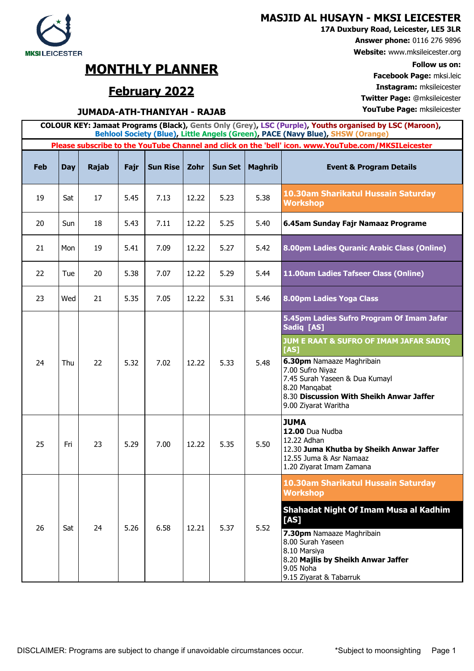### **MASJID AL HUSAYN - MKSI LEICESTER**

**17A Duxbury Road, Leicester, LE5 3LR**

**Answer phone:** 0116 276 9896

**Website:** www.mksileicester.org

**Facebook Page:** mksi.leic **February 2022 Instagram:** mksileicester **Twitter Page:** @mksileicester

# **MONTHLY PLANNER** Follow us on:<br> **Facebook Page:** mksi leic

## **JUMADA-ATH-THANIYAH - RAJAB YouTube Page:** mksileicester

| COLOUR KEY: Jamaat Programs (Black), Gents Only (Grey), LSC (Purple), Youths organised by LSC (Maroon),<br>Behlool Society (Blue), Little Angels (Green), PACE (Navy Blue), SHSW (Orange) |            |              |      |                 |       |                |                |                                                                                                                                                                                                                                                                                   |  |  |  |
|-------------------------------------------------------------------------------------------------------------------------------------------------------------------------------------------|------------|--------------|------|-----------------|-------|----------------|----------------|-----------------------------------------------------------------------------------------------------------------------------------------------------------------------------------------------------------------------------------------------------------------------------------|--|--|--|
| Please subscribe to the YouTube Channel and click on the 'bell' icon. www.YouTube.com/MKSILeicester                                                                                       |            |              |      |                 |       |                |                |                                                                                                                                                                                                                                                                                   |  |  |  |
| <b>Feb</b>                                                                                                                                                                                | <b>Day</b> | <b>Rajab</b> | Fajr | <b>Sun Rise</b> | Zohr  | <b>Sun Set</b> | <b>Maghrib</b> | <b>Event &amp; Program Details</b>                                                                                                                                                                                                                                                |  |  |  |
| 19                                                                                                                                                                                        | Sat        | 17           | 5.45 | 7.13            | 12.22 | 5.23           | 5.38           | 10.30am Sharikatul Hussain Saturday<br><b>Workshop</b>                                                                                                                                                                                                                            |  |  |  |
| 20                                                                                                                                                                                        | Sun        | 18           | 5.43 | 7.11            | 12.22 | 5.25           | 5.40           | 6.45am Sunday Fajr Namaaz Programe                                                                                                                                                                                                                                                |  |  |  |
| 21                                                                                                                                                                                        | Mon        | 19           | 5.41 | 7.09            | 12.22 | 5.27           | 5.42           | 8.00pm Ladies Quranic Arabic Class (Online)                                                                                                                                                                                                                                       |  |  |  |
| 22                                                                                                                                                                                        | Tue        | 20           | 5.38 | 7.07            | 12.22 | 5.29           | 5.44           | 11.00am Ladies Tafseer Class (Online)                                                                                                                                                                                                                                             |  |  |  |
| 23                                                                                                                                                                                        | Wed        | 21           | 5.35 | 7.05            | 12.22 | 5.31           | 5.46           | 8.00pm Ladies Yoga Class                                                                                                                                                                                                                                                          |  |  |  |
| 24                                                                                                                                                                                        | Thu        | 22           | 5.32 | 7.02            | 12.22 | 5.33           | 5.48           | 5.45pm Ladies Sufro Program Of Imam Jafar<br>Sadiq [AS]<br>JUM E RAAT & SUFRO OF IMAM JAFAR SADIQ<br>[AS]<br>6.30pm Namaaze Maghribain<br>7.00 Sufro Niyaz<br>7.45 Surah Yaseen & Dua Kumayl<br>8.20 Mangabat<br>8.30 Discussion With Sheikh Anwar Jaffer<br>9.00 Ziyarat Waritha |  |  |  |
| 25                                                                                                                                                                                        | Fri        | 23           | 5.29 | 7.00            | 12.22 | 5.35           | 5.50           | <b>JUMA</b><br>12.00 Dua Nudba<br>12.22 Adhan<br>12.30 Juma Khutba by Sheikh Anwar Jaffer<br>12.55 Juma & Asr Namaaz<br>1.20 Ziyarat Imam Zamana                                                                                                                                  |  |  |  |
| 26                                                                                                                                                                                        | Sat        | 24           | 5.26 | 6.58            | 12.21 | 5.37           | 5.52           | 10.30am Sharikatul Hussain Saturday<br><b>Workshop</b><br>Shahadat Night Of Imam Musa al Kadhim<br>[AS]<br>7.30pm Namaaze Maghribain<br>8.00 Surah Yaseen<br>8.10 Marsiya<br>8.20 Majlis by Sheikh Anwar Jaffer<br>9.05 Noha<br>9.15 Ziyarat & Tabarruk                           |  |  |  |